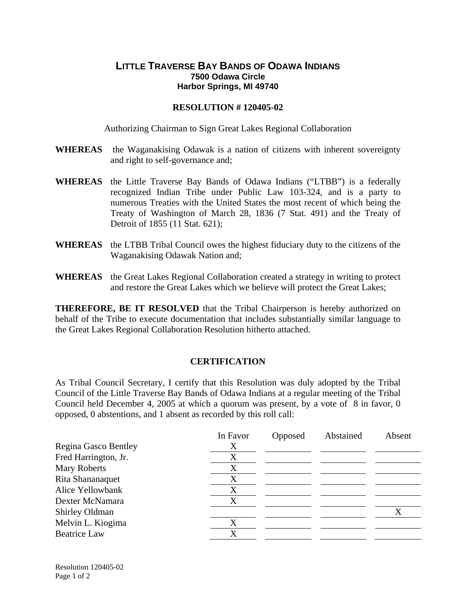## **LITTLE TRAVERSE BAY BANDS OF ODAWA INDIANS 7500 Odawa Circle Harbor Springs, MI 49740**

## **RESOLUTION # 120405-02**

Authorizing Chairman to Sign Great Lakes Regional Collaboration

- **WHEREAS** the Waganakising Odawak is a nation of citizens with inherent sovereignty and right to self-governance and;
- **WHEREAS** the Little Traverse Bay Bands of Odawa Indians ("LTBB") is a federally recognized Indian Tribe under Public Law 103-324, and is a party to numerous Treaties with the United States the most recent of which being the Treaty of Washington of March 28, 1836 (7 Stat. 491) and the Treaty of Detroit of 1855 (11 Stat. 621);
- **WHEREAS** the LTBB Tribal Council owes the highest fiduciary duty to the citizens of the Waganakising Odawak Nation and;
- **WHEREAS** the Great Lakes Regional Collaboration created a strategy in writing to protect and restore the Great Lakes which we believe will protect the Great Lakes;

**THEREFORE, BE IT RESOLVED** that the Tribal Chairperson is hereby authorized on behalf of the Tribe to execute documentation that includes substantially similar language to the Great Lakes Regional Collaboration Resolution hitherto attached.

## **CERTIFICATION**

As Tribal Council Secretary, I certify that this Resolution was duly adopted by the Tribal Council of the Little Traverse Bay Bands of Odawa Indians at a regular meeting of the Tribal Council held December 4, 2005 at which a quorum was present, by a vote of 8 in favor, 0 opposed, 0 abstentions, and 1 absent as recorded by this roll call:

|                      | In Favor | Opposed | Abstained | Absent |
|----------------------|----------|---------|-----------|--------|
| Regina Gasco Bentley | X        |         |           |        |
| Fred Harrington, Jr. | X        |         |           |        |
| Mary Roberts         | X        |         |           |        |
| Rita Shananaquet     | X        |         |           |        |
| Alice Yellowbank     | X        |         |           |        |
| Dexter McNamara      | X        |         |           |        |
| Shirley Oldman       |          |         |           |        |
| Melvin L. Kiogima    | X        |         |           |        |
| <b>Beatrice Law</b>  | X        |         |           |        |